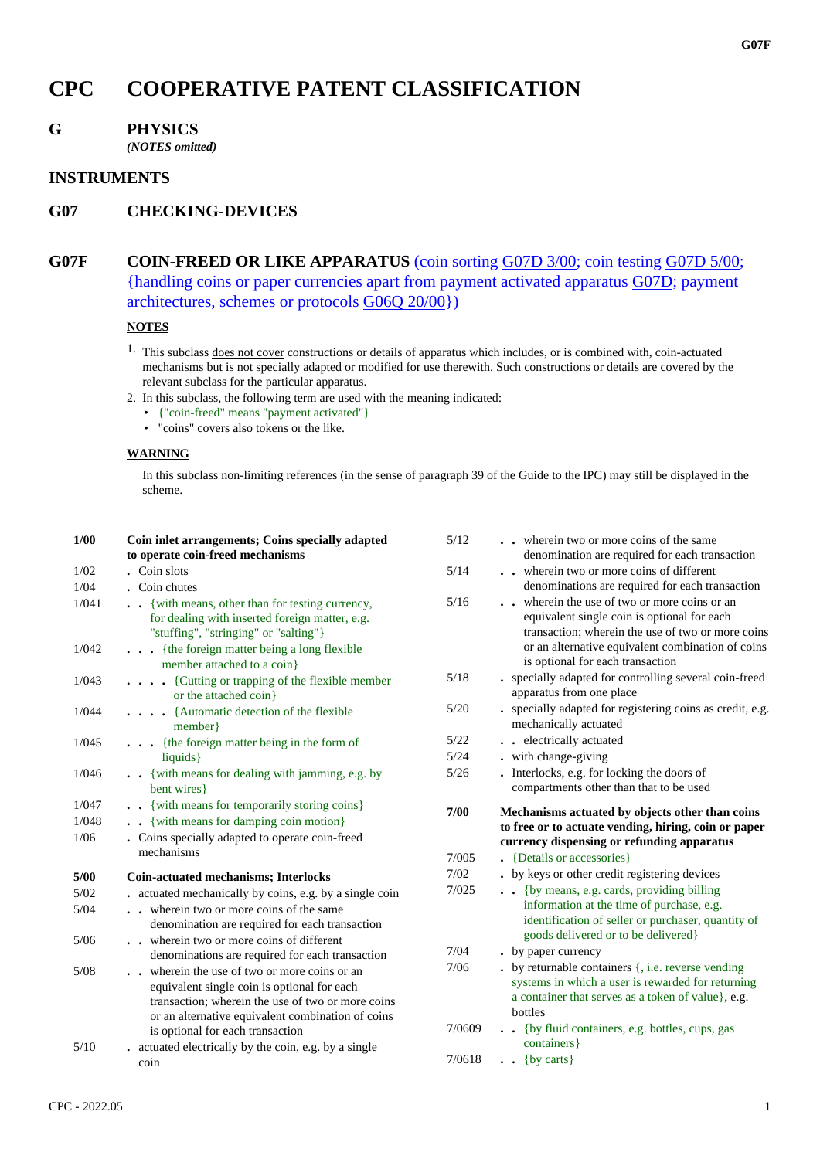# **CPC COOPERATIVE PATENT CLASSIFICATION**

## **G PHYSICS**

*(NOTES omitted)*

## **INSTRUMENTS**

## **G07 CHECKING-DEVICES**

## **G07F COIN-FREED OR LIKE APPARATUS** (coin sorting G07D 3/00; coin testing G07D 5/00; {handling coins or paper currencies apart from payment activated apparatus G07D; payment architectures, schemes or protocols G06Q 20/00})

#### **NOTES**

- 1. This subclass does not cover constructions or details of apparatus which includes, or is combined with, coin-actuated mechanisms but is not specially adapted or modified for use therewith. Such constructions or details are covered by the relevant subclass for the particular apparatus.
- 2. In this subclass, the following term are used with the meaning indicated:
	- {"coin-freed" means "payment activated"}
	- "coins" covers also tokens or the like.

#### **WARNING**

In this subclass non-limiting references (in the sense of paragraph 39 of the Guide to the IPC) may still be displayed in the scheme.

| 1/00  | Coin inlet arrangements; Coins specially adapted                                                                                                                                                                                        |
|-------|-----------------------------------------------------------------------------------------------------------------------------------------------------------------------------------------------------------------------------------------|
|       | to operate coin-freed mechanisms                                                                                                                                                                                                        |
| 1/02  | . Coin slots                                                                                                                                                                                                                            |
| 1/04  | . Coin chutes                                                                                                                                                                                                                           |
| 1/041 | {with means, other than for testing currency,<br>$\ddot{\phantom{0}}$                                                                                                                                                                   |
|       | for dealing with inserted foreign matter, e.g.<br>"stuffing", "stringing" or "salting"}                                                                                                                                                 |
| 1/042 | {the foreign matter being a long flexible<br>member attached to a coin}                                                                                                                                                                 |
| 1/043 | . {Cutting or trapping of the flexible member<br>or the attached coin}                                                                                                                                                                  |
| 1/044 | . {Automatic detection of the flexible<br>member}                                                                                                                                                                                       |
| 1/045 | . {the foreign matter being in the form of<br>liquids }                                                                                                                                                                                 |
| 1/046 | {with means for dealing with jamming, e.g. by<br>$\ddot{\phantom{0}}$<br>bent wires }                                                                                                                                                   |
| 1/047 | . { with means for temporarily storing coins}                                                                                                                                                                                           |
| 1/048 | {with means for damping coin motion}<br>$\sim$                                                                                                                                                                                          |
| 1/06  | . Coins specially adapted to operate coin-freed<br>mechanisms                                                                                                                                                                           |
| 5/00  | <b>Coin-actuated mechanisms; Interlocks</b>                                                                                                                                                                                             |
| 5/02  | actuated mechanically by coins, e.g. by a single coin                                                                                                                                                                                   |
| 5/04  | wherein two or more coins of the same<br>denomination are required for each transaction                                                                                                                                                 |
| 5/06  | wherein two or more coins of different<br>$\ddotsc$<br>denominations are required for each transaction                                                                                                                                  |
| 5/08  | wherein the use of two or more coins or an<br>equivalent single coin is optional for each<br>transaction; wherein the use of two or more coins<br>or an alternative equivalent combination of coins<br>is optional for each transaction |
| 5/10  | actuated electrically by the coin, e.g. by a single<br>coin                                                                                                                                                                             |

| 5/12   | wherein two or more coins of the same<br>denomination are required for each transaction |
|--------|-----------------------------------------------------------------------------------------|
| 5/14   | wherein two or more coins of different                                                  |
|        | denominations are required for each transaction                                         |
| 5/16   | wherein the use of two or more coins or an                                              |
|        | equivalent single coin is optional for each                                             |
|        | transaction: wherein the use of two or more coins                                       |
|        | or an alternative equivalent combination of coins                                       |
|        | is optional for each transaction                                                        |
| 5/18   | specially adapted for controlling several coin-freed                                    |
|        | apparatus from one place                                                                |
| 5/20   | . specially adapted for registering coins as credit, e.g.                               |
|        | mechanically actuated                                                                   |
| 5/22   | electrically actuated                                                                   |
| 5/24   | with change-giving                                                                      |
| 5/26   | Interlocks, e.g. for locking the doors of                                               |
|        | compartments other than that to be used                                                 |
|        |                                                                                         |
| 7/00   | Mechanisms actuated by objects other than coins                                         |
|        | to free or to actuate vending, hiring, coin or paper                                    |
|        | currency dispensing or refunding apparatus                                              |
| 7/005  | {Details or accessories}                                                                |
| 7/02   | . by keys or other credit registering devices                                           |
| 7/025  | {by means, e.g. cards, providing billing<br>$\ddot{\phantom{0}}$                        |
|        | information at the time of purchase, e.g.                                               |
|        | identification of seller or purchaser, quantity of                                      |
|        | goods delivered or to be delivered}                                                     |
| 7/04   | • by paper currency                                                                     |
| 7/06   | $\bullet$ by returnable containers $\{$ , i.e. reverse vending                          |
|        | systems in which a user is rewarded for returning                                       |
|        | a container that serves as a token of value}, e.g.                                      |
|        | bottles                                                                                 |
| 7/0609 | {by fluid containers, e.g. bottles, cups, gas<br>$\ddot{\phantom{a}}$                   |
| 7/0618 | containers}<br>{by carts}                                                               |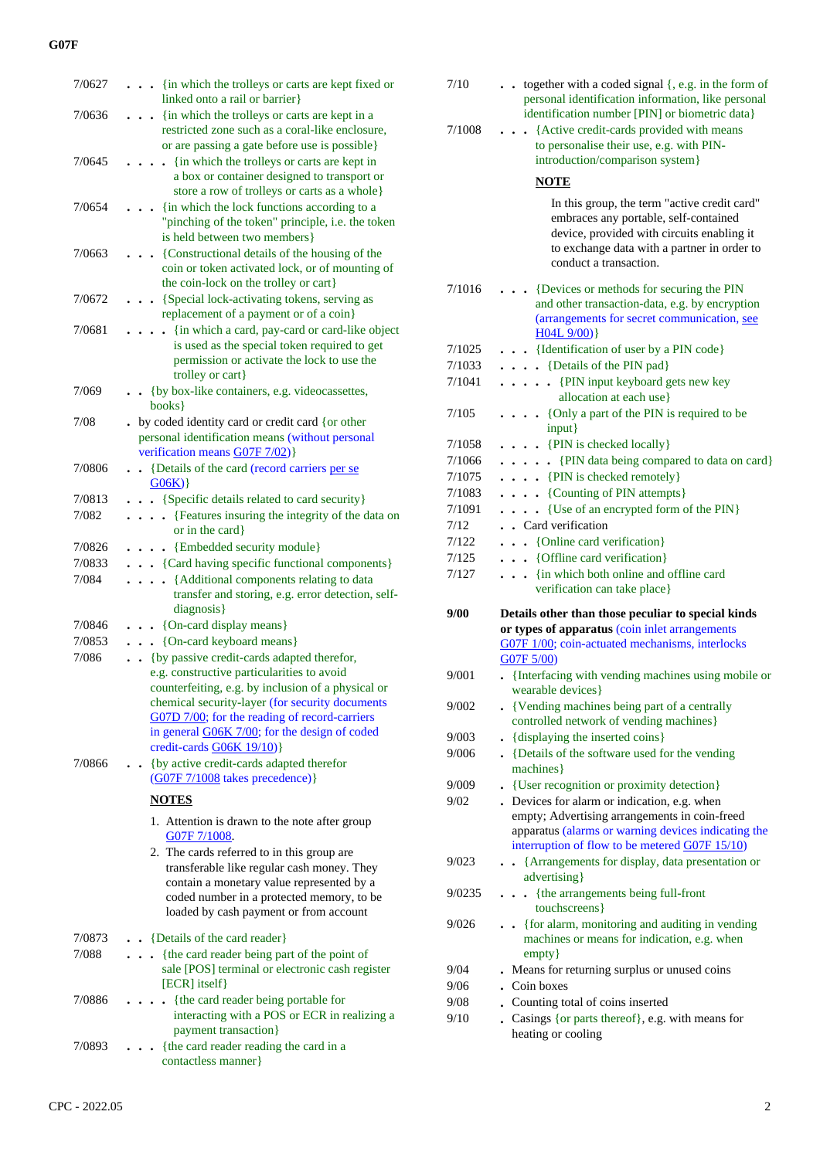| 7/0627 | . {in which the trolleys or carts are kept fixed or<br>linked onto a rail or barrier}                                                                                                                                                                                                         |
|--------|-----------------------------------------------------------------------------------------------------------------------------------------------------------------------------------------------------------------------------------------------------------------------------------------------|
| 7/0636 | {in which the trolleys or carts are kept in a<br>restricted zone such as a coral-like enclosure,                                                                                                                                                                                              |
| 7/0645 | or are passing a gate before use is possible}<br>{in which the trolleys or carts are kept in<br>a box or container designed to transport or<br>store a row of trolleys or carts as a whole}                                                                                                   |
| 7/0654 | {in which the lock functions according to a<br>"pinching of the token" principle, i.e. the token<br>is held between two members }                                                                                                                                                             |
| 7/0663 | {Constructional details of the housing of the<br>coin or token activated lock, or of mounting of<br>the coin-lock on the trolley or cart}                                                                                                                                                     |
| 7/0672 | {Special lock-activating tokens, serving as<br>replacement of a payment or of a coin}                                                                                                                                                                                                         |
| 7/0681 | {in which a card, pay-card or card-like object<br>is used as the special token required to get<br>permission or activate the lock to use the<br>trolley or cart}                                                                                                                              |
| 7/069  | {by box-like containers, e.g. videocassettes,<br>$\sim$<br>books}                                                                                                                                                                                                                             |
| 7/08   | . by coded identity card or credit card {or other<br>personal identification means (without personal<br>verification means G07F 7/02)}                                                                                                                                                        |
| 7/0806 | {Details of the card (record carriers per se<br>$\mathbf{A}^{\perp}$<br>G06K)                                                                                                                                                                                                                 |
| 7/0813 | {Specific details related to card security}<br>$\ddot{\phantom{0}}$                                                                                                                                                                                                                           |
| 7/082  | {Features insuring the integrity of the data on<br>$\ddot{\phantom{a}}$<br>or in the card}                                                                                                                                                                                                    |
| 7/0826 | {Embedded security module}<br>$\ddot{\phantom{0}}$                                                                                                                                                                                                                                            |
| 7/0833 | . {Card having specific functional components}                                                                                                                                                                                                                                                |
| 7/084  | {Additional components relating to data<br>$\ddot{\phantom{a}}$<br>transfer and storing, e.g. error detection, self-<br>diagnosis }                                                                                                                                                           |
| 7/0846 | {On-card display means}                                                                                                                                                                                                                                                                       |
| 7/0853 | {On-card keyboard means}<br>$\ddot{\phantom{0}}$                                                                                                                                                                                                                                              |
| 7/086  | {by passive credit-cards adapted therefor,<br>$\ddotsc$                                                                                                                                                                                                                                       |
|        | e.g. constructive particularities to avoid<br>counterfeiting, e.g. by inclusion of a physical or<br>chemical security-layer (for security documents<br>G07D 7/00; for the reading of record-carriers<br>in general G06K 7/00; for the design of coded<br>credit-cards G06K 19/10)}            |
| 7/0866 | {by active credit-cards adapted therefor                                                                                                                                                                                                                                                      |
|        | (G07F 7/1008 takes precedence) }                                                                                                                                                                                                                                                              |
|        | <b>NOTES</b>                                                                                                                                                                                                                                                                                  |
|        | 1. Attention is drawn to the note after group<br>G07F 7/1008.<br>2. The cards referred to in this group are<br>transferable like regular cash money. They<br>contain a monetary value represented by a<br>coded number in a protected memory, to be<br>loaded by cash payment or from account |
| 7/0873 | . . {Details of the card reader}                                                                                                                                                                                                                                                              |
| 7/088  | {the card reader being part of the point of<br>$\ddot{\phantom{0}}$<br>sale [POS] terminal or electronic cash register<br>[ECR] itself}                                                                                                                                                       |
| 7/0886 | {the card reader being portable for<br>interacting with a POS or ECR in realizing a<br>payment transaction}                                                                                                                                                                                   |
| 7/0893 | {the card reader reading the card in a<br>contactless manner}                                                                                                                                                                                                                                 |

|        | identification number [PIN] or biometric data}                          |
|--------|-------------------------------------------------------------------------|
| 7/1008 | {Active credit-cards provided with means                                |
|        | to personalise their use, e.g. with PIN-                                |
|        | introduction/comparison system}                                         |
|        | <b>NOTE</b>                                                             |
|        |                                                                         |
|        | In this group, the term "active credit card"                            |
|        | embraces any portable, self-contained                                   |
|        | device, provided with circuits enabling it                              |
|        | to exchange data with a partner in order to                             |
|        | conduct a transaction.                                                  |
| 7/1016 | {Devices or methods for securing the PIN                                |
|        | and other transaction-data, e.g. by encryption                          |
|        | (arrangements for secret communication, see                             |
|        | H04L 9/00                                                               |
| 7/1025 | . . {Identification of user by a PIN code}                              |
| 7/1033 | . {Details of the PIN pad}                                              |
| 7/1041 | . {PIN input keyboard gets new key                                      |
|        | allocation at each use}                                                 |
| 7/105  | • {Only a part of the PIN is required to be                             |
|        | input}                                                                  |
| 7/1058 | $\ldots$ {PIN is checked locally}                                       |
| 7/1066 | . {PIN data being compared to data on card}                             |
| 7/1075 | $\ldots$ [PIN is checked remotely]                                      |
|        |                                                                         |
| 7/1083 | $\ldots$ {Counting of PIN attempts}                                     |
| 7/1091 | {Use of an encrypted form of the PIN}                                   |
| 7/12   | . Card verification                                                     |
| 7/122  | . . {Online card verification}                                          |
| 7/125  | . {Offline card verification}                                           |
| 7/127  | . {in which both online and offline card                                |
|        | verification can take place}                                            |
| 9/00   | Details other than those peculiar to special kinds                      |
|        | or types of apparatus (coin inlet arrangements                          |
|        | G07F 1/00; coin-actuated mechanisms, interlocks                         |
|        | G07F 5/00)                                                              |
| 9/001  | • {Interfacing with vending machines using mobile or                    |
|        | wearable devices}                                                       |
| 9/002  | • {Vending machines being part of a centrally                           |
|        | controlled network of vending machines}                                 |
| 9/003  | - {displaying the inserted coins}                                       |
| 9/006  | • {Details of the software used for the vending                         |
|        | machines }                                                              |
| 9/009  | {User recognition or proximity detection}                               |
| 9/02   | Devices for alarm or indication, e.g. when                              |
|        | empty; Advertising arrangements in coin-freed                           |
|        | apparatus (alarms or warning devices indicating the                     |
|        | interruption of flow to be metered G07F 15/10)                          |
| 9/023  | {Arrangements for display, data presentation or<br>$\ddot{\phantom{0}}$ |
|        | advertising}                                                            |
| 9/0235 | {the arrangements being full-front                                      |
|        | touchscreens}                                                           |
| 9/026  | • {for alarm, monitoring and auditing in vending                        |
|        | machines or means for indication, e.g. when                             |
|        | $empty\}$                                                               |
| 9/04   | . Means for returning surplus or unused coins                           |
| 9/06   | . Coin boxes                                                            |
| 9/08   | Counting total of coins inserted                                        |
| 9/10   | Casings {or parts thereof}, e.g. with means for                         |
|        | heating or cooling                                                      |
|        |                                                                         |

7/10 **. .** together with a coded signal {, e.g. in the form of

personal identification information, like personal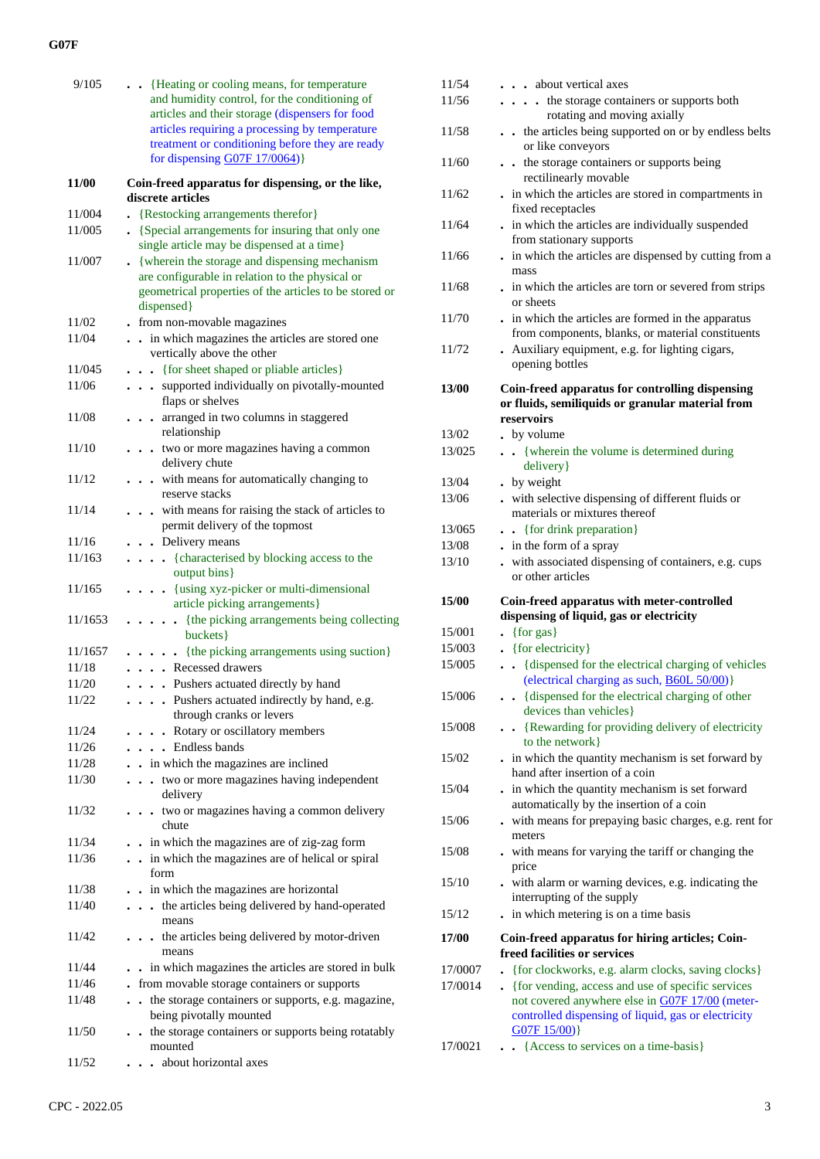| 9/105   | . Heating or cooling means, for temperature            | 11/54   | about vertical axes                    |
|---------|--------------------------------------------------------|---------|----------------------------------------|
|         | and humidity control, for the conditioning of          | 11/56   | $\cdots$ $\cdots$ the storage contain- |
|         | articles and their storage (dispensers for food        |         | rotating and mo                        |
|         | articles requiring a processing by temperature         | 11/58   | . . the articles being sup             |
|         | treatment or conditioning before they are ready        |         | or like conveyors                      |
|         | for dispensing $G07F 17/0064$ )                        | 11/60   | . . the storage container              |
|         |                                                        |         | rectilinearly movable                  |
| 11/00   | Coin-freed apparatus for dispensing, or the like,      | 11/62   | . in which the articles are            |
|         | discrete articles                                      |         | fixed receptacles                      |
| 11/004  | • {Restocking arrangements therefor}                   | 11/64   | . in which the articles are            |
| 11/005  | • {Special arrangements for insuring that only one     |         | from stationary support                |
|         | single article may be dispensed at a time}             | 11/66   | . in which the articles are            |
| 11/007  | • {wherein the storage and dispensing mechanism        |         | mass                                   |
|         | are configurable in relation to the physical or        | 11/68   | . in which the articles are            |
|         | geometrical properties of the articles to be stored or |         | or sheets                              |
|         | dispensed}                                             | 11/70   | . in which the articles are            |
| 11/02   | - from non-movable magazines                           |         | from components, blan                  |
| 11/04   | . . in which magazines the articles are stored one     | 11/72   | . Auxiliary equipment, e               |
|         | vertically above the other                             |         | opening bottles                        |
| 11/045  | {for sheet shaped or pliable articles}                 |         |                                        |
| 11/06   | . supported individually on pivotally-mounted          | 13/00   | Coin-freed apparatus fo                |
|         | flaps or shelves                                       |         | or fluids, semiliquids or              |
| 11/08   | . arranged in two columns in staggered                 |         | reservoirs                             |
|         | relationship                                           | 13/02   | . by volume                            |
| 11/10   | . two or more magazines having a common                | 13/025  | • · {wherein the volume                |
|         | delivery chute                                         |         | delivery }                             |
| 11/12   | . with means for automatically changing to             | 13/04   | . by weight                            |
|         | reserve stacks                                         | 13/06   | . with selective dispensin             |
| 11/14   | . with means for raising the stack of articles to      |         | materials or mixtures th               |
|         | permit delivery of the topmost                         | 13/065  | . . {for drink preparation             |
| 11/16   | . Delivery means                                       | 13/08   | . in the form of a spray               |
| 11/163  | . {characterised by blocking access to the             | 13/10   | . with associated dispens              |
|         | output bins}                                           |         | or other articles                      |
| 11/165  | . {using xyz-picker or multi-dimensional               |         |                                        |
|         | article picking arrangements}                          | 15/00   | Coin-freed apparatus wi                |
| 11/1653 | . {the picking arrangements being collecting           |         | dispensing of liquid, gas              |
|         | buckets}                                               | 15/001  | $\bullet$ {for gas}                    |
| 11/1657 | . {the picking arrangements using suction}             | 15/003  | $\bullet$ {for electricity}            |
| 11/18   | . Recessed drawers                                     | 15/005  | . {dispensed for the electrical        |
| 11/20   | . Pushers actuated directly by hand                    |         | (electrical charging a                 |
| 11/22   | . Pushers actuated indirectly by hand, e.g.            | 15/006  | . {dispensed for the election          |
|         | through cranks or levers                               |         | devices than vehicles                  |
| 11/24   | . Rotary or oscillatory members                        | 15/008  | . . {Rewarding for prov                |
|         | . Endless bands                                        |         | to the network}                        |
| 11/26   |                                                        | 15/02   | . in which the quantity m              |
| 11/28   | . . in which the magazines are inclined                |         | hand after insertion of a              |
| 11/30   | . two or more magazines having independent             | 15/04   | . in which the quantity m              |
|         | delivery                                               |         | automatically by the in:               |
| 11/32   | . two or magazines having a common delivery            | 15/06   | - with means for prepayi               |
|         | chute                                                  |         | meters                                 |
| 11/34   | . . in which the magazines are of zig-zag form         | 15/08   | . with means for varying               |
| 11/36   | . . in which the magazines are of helical or spiral    |         | price                                  |
|         | form                                                   | 15/10   | . with alarm or warning                |
| 11/38   | . . in which the magazines are horizontal              |         | interrupting of the supp               |
| 11/40   | . the articles being delivered by hand-operated        | 15/12   | . in which metering is on              |
|         | means                                                  |         |                                        |
| 11/42   | . the articles being delivered by motor-driven         | 17/00   | Coin-freed apparatus fo                |
|         | means                                                  |         | freed facilities or service            |
| 11/44   | . . in which magazines the articles are stored in bulk | 17/0007 | • {for clockworks, e.g. al             |
| 11/46   | - from movable storage containers or supports          | 17/0014 | • {for vending, access an              |
| 11/48   | . . the storage containers or supports, e.g. magazine, |         | not covered anywhere e                 |
|         | being pivotally mounted                                |         | controlled dispensing o                |
| 11/50   | . . the storage containers or supports being rotatably |         | G07F15/00)                             |
|         | mounted                                                | 17/0021 | . . {Access to services of             |
| 11/52   | about horizontal axes                                  |         |                                        |
|         |                                                        |         |                                        |

| 11/54           | . about vertical axes                                                                                                                                                       |
|-----------------|-----------------------------------------------------------------------------------------------------------------------------------------------------------------------------|
| 11/56           | . the storage containers or supports both                                                                                                                                   |
| 11/58           | rotating and moving axially<br>the articles being supported on or by endless belts                                                                                          |
| 11/60           | or like conveyors<br>the storage containers or supports being<br>rectilinearly movable                                                                                      |
| 11/62           | . in which the articles are stored in compartments in<br>fixed receptacles                                                                                                  |
| 11/64           | . in which the articles are individually suspended<br>from stationary supports                                                                                              |
| 11/66           | . in which the articles are dispensed by cutting from a<br>mass                                                                                                             |
| 11/68           | . in which the articles are torn or severed from strips<br>or sheets                                                                                                        |
| 11/70           | . in which the articles are formed in the apparatus<br>from components, blanks, or material constituents                                                                    |
| 11/72           | . Auxiliary equipment, e.g. for lighting cigars,<br>opening bottles                                                                                                         |
| <b>13/00</b>    | Coin-freed apparatus for controlling dispensing<br>or fluids, semiliquids or granular material from<br>reservoirs                                                           |
| 13/02           |                                                                                                                                                                             |
|                 | . by volume                                                                                                                                                                 |
| 13/025<br>13/04 | • {wherein the volume is determined during<br>delivery }                                                                                                                    |
|                 | . by weight                                                                                                                                                                 |
| 13/06           | . with selective dispensing of different fluids or<br>materials or mixtures thereof                                                                                         |
| 13/065          | . { for drink preparation}                                                                                                                                                  |
| 13/08           | . in the form of a spray                                                                                                                                                    |
| 13/10           | . with associated dispensing of containers, e.g. cups<br>or other articles                                                                                                  |
| 15/00           | Coin-freed apparatus with meter-controlled<br>dispensing of liquid, gas or electricity                                                                                      |
| 15/001          | $\bullet$ {for gas}                                                                                                                                                         |
| 15/003          | • {for electricity}                                                                                                                                                         |
| 15/005          | {dispensed for the electrical charging of vehicles<br>$\sim$<br>(electrical charging as such, <b>B60L 50/00</b> )}                                                          |
| 15/006          | . {dispensed for the electrical charging of other<br>devices than vehicles}                                                                                                 |
| 15/008          | • {Rewarding for providing delivery of electricity<br>to the network }                                                                                                      |
| 15/02           | . in which the quantity mechanism is set forward by<br>hand after insertion of a coin                                                                                       |
| 15/04           | . in which the quantity mechanism is set forward<br>automatically by the insertion of a coin                                                                                |
| 15/06           | . with means for prepaying basic charges, e.g. rent for<br>meters                                                                                                           |
| 15/08           | . with means for varying the tariff or changing the<br>price                                                                                                                |
| 15/10<br>15/12  | . with alarm or warning devices, e.g. indicating the<br>interrupting of the supply<br>. in which metering is on a time basis                                                |
|                 |                                                                                                                                                                             |
| 17/00           | Coin-freed apparatus for hiring articles; Coin-<br>freed facilities or services                                                                                             |
| 17/0007         | {for clockworks, e.g. alarm clocks, saving clocks}                                                                                                                          |
| 17/0014         | • {for vending, access and use of specific services<br>not covered anywhere else in G07F 17/00 (meter-<br>controlled dispensing of liquid, gas or electricity<br>G07F15/00) |
| 17/0021         | {Access to services on a time-basis}                                                                                                                                        |
|                 |                                                                                                                                                                             |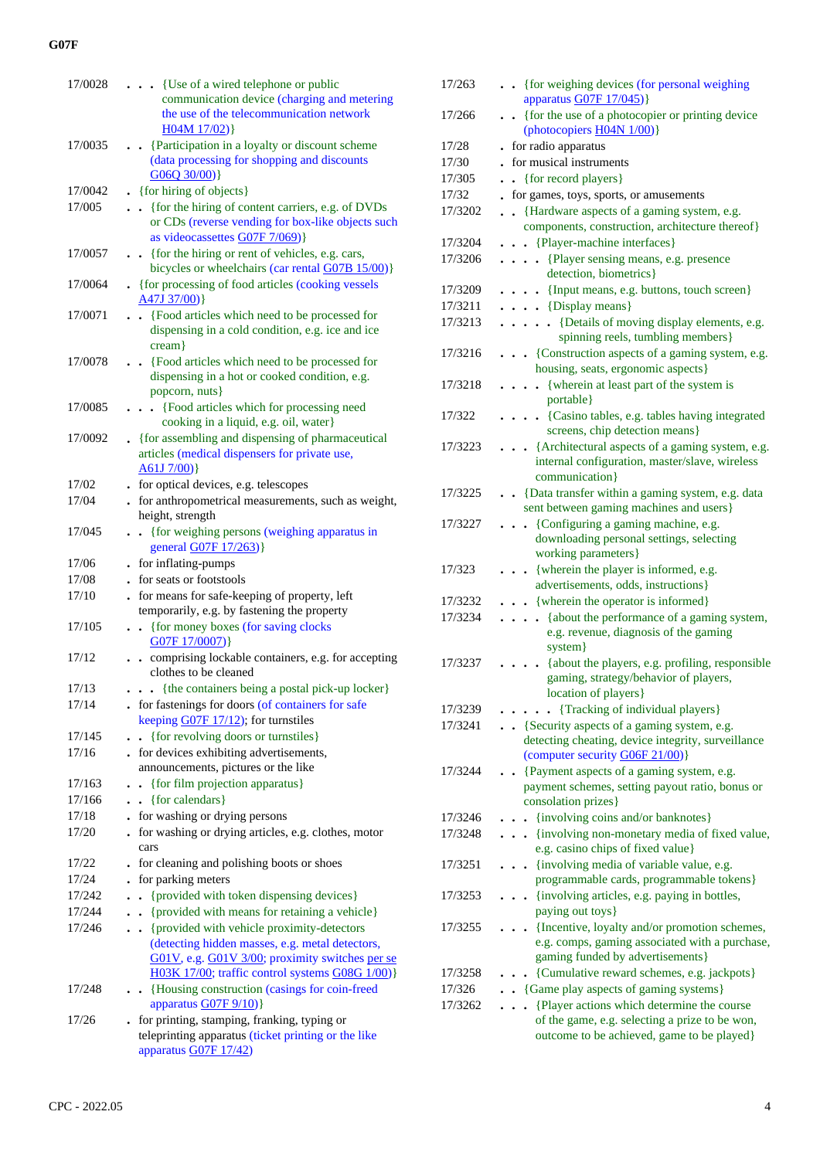| 17/0028 | . {Use of a wired telephone or public                                    |
|---------|--------------------------------------------------------------------------|
|         | communication device (charging and metering                              |
|         | the use of the telecommunication network                                 |
|         | H04M17/02)                                                               |
| 17/0035 | . . {Participation in a loyalty or discount scheme                       |
|         | (data processing for shopping and discounts                              |
|         | G06Q 30/00)                                                              |
| 17/0042 | . {for hiring of objects}                                                |
| 17/005  | {for the hiring of content carriers, e.g. of DVDs                        |
|         | or CDs (reverse vending for box-like objects such                        |
|         | as videocassettes $G07F7/069$                                            |
| 17/0057 | {for the hiring or rent of vehicles, e.g. cars,                          |
|         | bicycles or wheelchairs (car rental G07B 15/00)}                         |
| 17/0064 | . {for processing of food articles (cooking vessels                      |
|         | $A47J 37/00$ }                                                           |
| 17/0071 | {Food articles which need to be processed for                            |
|         | dispensing in a cold condition, e.g. ice and ice                         |
|         | $cream$ }                                                                |
| 17/0078 | {Food articles which need to be processed for                            |
|         | dispensing in a hot or cooked condition, e.g.                            |
|         | popcorn, nuts}                                                           |
| 17/0085 | {Food articles which for processing need<br>$\mathbf{r}$                 |
|         | cooking in a liquid, e.g. oil, water}                                    |
| 17/0092 | • {for assembling and dispensing of pharmaceutical                       |
|         | articles (medical dispensers for private use,                            |
|         | A61J7/00)                                                                |
| 17/02   | . for optical devices, e.g. telescopes                                   |
| 17/04   | - for anthropometrical measurements, such as weight,<br>height, strength |
| 17/045  |                                                                          |
|         | {for weighing persons (weighing apparatus in<br>general G07F 17/263)}    |
| 17/06   | - for inflating-pumps                                                    |
| 17/08   | . for seats or footstools                                                |
| 17/10   | . for means for safe-keeping of property, left                           |
|         | temporarily, e.g. by fastening the property                              |
| 17/105  | {for money boxes (for saving clocks<br>$\ddot{\phantom{0}}$              |
|         | G07F17/0007)                                                             |
| 17/12   | comprising lockable containers, e.g. for accepting                       |
|         | clothes to be cleaned                                                    |
| 17/13   | • {the containers being a postal pick-up locker}                         |
| 17/14   | . for fastenings for doors (of containers for safe                       |
|         | keeping G07F 17/12); for turnstiles                                      |
| 17/145  | {for revolving doors or turnstiles}                                      |
| 17/16   | . for devices exhibiting advertisements,                                 |
|         | announcements, pictures or the like                                      |
| 17/163  | {for film projection apparatus}<br>$\ddot{\phantom{0}}$                  |
| 17/166  | . . {for calendars}                                                      |
| 17/18   | for washing or drying persons<br>$\ddot{\phantom{0}}$                    |
| 17/20   | for washing or drying articles, e.g. clothes, motor                      |
|         | cars                                                                     |
| 17/22   | for cleaning and polishing boots or shoes                                |
| 17/24   | for parking meters                                                       |
| 17/242  | {provided with token dispensing devices}                                 |
| 17/244  | {provided with means for retaining a vehicle}                            |
| 17/246  | {provided with vehicle proximity-detectors<br>$\ddot{\phantom{0}}$       |
|         | (detecting hidden masses, e.g. metal detectors,                          |
|         | G01V, e.g. G01V 3/00; proximity switches per se                          |
|         | H03K 17/00; traffic control systems G08G 1/00)}                          |
| 17/248  | {Housing construction (casings for coin-freed<br>$\ddot{\phantom{0}}$    |
|         | apparatus G07F 9/10)}                                                    |
| 17/26   | . for printing, stamping, franking, typing or                            |
|         | teleprinting apparatus (ticket printing or the like                      |
|         | apparatus G07F 17/42)                                                    |

| 17/263  | . {for weighing devices (for personal weighing<br>apparatus $G07F 17/045$                                           |
|---------|---------------------------------------------------------------------------------------------------------------------|
| 17/266  | {for the use of a photocopier or printing device<br>$\bullet$<br>(photocopiers H04N 1/00)}                          |
| 17/28   | for radio apparatus                                                                                                 |
| 17/30   | . for musical instruments                                                                                           |
| 17/305  | {for record players}                                                                                                |
| 17/32   | for games, toys, sports, or amusements                                                                              |
| 17/3202 | • {Hardware aspects of a gaming system, e.g.                                                                        |
|         | components, construction, architecture thereof}                                                                     |
| 17/3204 | . . {Player-machine interfaces}                                                                                     |
|         |                                                                                                                     |
| 17/3206 | {Player sensing means, e.g. presence<br>$\ddotsc$<br>detection, biometrics}                                         |
| 17/3209 | . {Input means, e.g. buttons, touch screen}                                                                         |
| 17/3211 | $\cdots$ (Display means)                                                                                            |
| 17/3213 | {Details of moving display elements, e.g.<br>.<br>spinning reels, tumbling members}                                 |
| 17/3216 | {Construction aspects of a gaming system, e.g.                                                                      |
|         | housing, seats, ergonomic aspects}                                                                                  |
| 17/3218 | . { wherein at least part of the system is<br>portable}                                                             |
| 17/322  | • {Casino tables, e.g. tables having integrated                                                                     |
|         | screens, chip detection means}                                                                                      |
| 17/3223 | {Architectural aspects of a gaming system, e.g.<br>internal configuration, master/slave, wireless<br>communication} |
| 17/3225 | . . {Data transfer within a gaming system, e.g. data                                                                |
|         | sent between gaming machines and users}                                                                             |
| 17/3227 | . {Configuring a gaming machine, e.g.<br>downloading personal settings, selecting                                   |
|         | working parameters}                                                                                                 |
| 17/323  | {wherein the player is informed, e.g.                                                                               |
|         | advertisements, odds, instructions}                                                                                 |
| 17/3232 | • {wherein the operator is informed}                                                                                |
| 17/3234 | {about the performance of a gaming system,                                                                          |
|         | e.g. revenue, diagnosis of the gaming<br>system}                                                                    |
| 17/3237 | {about the players, e.g. profiling, responsible                                                                     |
|         | gaming, strategy/behavior of players,                                                                               |
|         | location of players }                                                                                               |
| 17/3239 | {Tracking of individual players}                                                                                    |
| 17/3241 | • {Security aspects of a gaming system, e.g.                                                                        |
|         | detecting cheating, device integrity, surveillance                                                                  |
|         | (computer security G06F 21/00)}                                                                                     |
| 17/3244 | . {Payment aspects of a gaming system, e.g.                                                                         |
|         | payment schemes, setting payout ratio, bonus or                                                                     |
|         | consolation prizes}                                                                                                 |
| 17/3246 | {involving coins and/or banknotes}                                                                                  |
| 17/3248 | {involving non-monetary media of fixed value,<br>. .<br>e.g. casino chips of fixed value}                           |
| 17/3251 | {involving media of variable value, e.g.                                                                            |
|         | programmable cards, programmable tokens}                                                                            |
| 17/3253 | {involving articles, e.g. paying in bottles,<br>paying out toys}                                                    |
| 17/3255 | {Incentive, loyalty and/or promotion schemes,                                                                       |
|         | e.g. comps, gaming associated with a purchase,                                                                      |
|         | gaming funded by advertisements}                                                                                    |
| 17/3258 | {Cumulative reward schemes, e.g. jackpots}                                                                          |
| 17/326  | • {Game play aspects of gaming systems}                                                                             |
| 17/3262 | {Player actions which determine the course                                                                          |
|         | of the game, e.g. selecting a prize to be won,                                                                      |
|         | outcome to be achieved, game to be played}                                                                          |